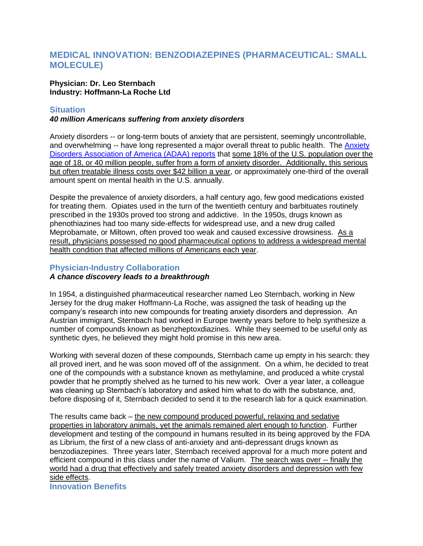# **MEDICAL INNOVATION: BENZODIAZEPINES (PHARMACEUTICAL: SMALL MOLECULE)**

### **Physician: Dr. Leo Sternbach Industry: Hoffmann-La Roche Ltd**

## **Situation**

## *40 million Americans suffering from anxiety disorders*

Anxiety disorders -- or long-term bouts of anxiety that are persistent, seemingly uncontrollable, and overwhelming -- have long represented a major overall threat to public health. The [Anxiety](http://www.adaa.org/about-adaa/press-room/facts-statistics)  [Disorders Association of America \(ADAA\) reports](http://www.adaa.org/about-adaa/press-room/facts-statistics) that some 18% of the U.S. population over the age of 18, or 40 million people, suffer from a form of anxiety disorder. Additionally, this serious but often treatable illness costs over \$42 billion a year, or approximately one-third of the overall amount spent on mental health in the U.S. annually.

Despite the prevalence of anxiety disorders, a half century ago, few good medications existed for treating them. Opiates used in the turn of the twentieth century and barbituates routinely prescribed in the 1930s proved too strong and addictive. In the 1950s, drugs known as phenothiazines had too many side-effects for widespread use, and a new drug called Meprobamate, or Miltown, often proved too weak and caused excessive drowsiness. As a result, physicians possessed no good pharmaceutical options to address a widespread mental health condition that affected millions of Americans each year.

## **Physician-Industry Collaboration**

## *A chance discovery leads to a breakthrough*

In 1954, a distinguished pharmaceutical researcher named Leo Sternbach, working in New Jersey for the drug maker Hoffmann-La Roche, was assigned the task of heading up the company"s research into new compounds for treating anxiety disorders and depression. An Austrian immigrant, Sternbach had worked in Europe twenty years before to help synthesize a number of compounds known as benzheptoxdiazines. While they seemed to be useful only as synthetic dyes, he believed they might hold promise in this new area.

Working with several dozen of these compounds, Sternbach came up empty in his search: they all proved inert, and he was soon moved off of the assignment. On a whim, he decided to treat one of the compounds with a substance known as methylamine, and produced a white crystal powder that he promptly shelved as he turned to his new work. Over a year later, a colleague was cleaning up Sternbach"s laboratory and asked him what to do with the substance, and, before disposing of it, Sternbach decided to send it to the research lab for a quick examination.

The results came back – the new compound produced powerful, relaxing and sedative properties in laboratory animals, yet the animals remained alert enough to function. Further development and testing of the compound in humans resulted in its being approved by the FDA as Librium, the first of a new class of anti-anxiety and anti-depressant drugs known as benzodiazepines. Three years later, Sternbach received approval for a much more potent and efficient compound in this class under the name of Valium. The search was over -- finally the world had a drug that effectively and safely treated anxiety disorders and depression with few side effects. **Innovation Benefits**